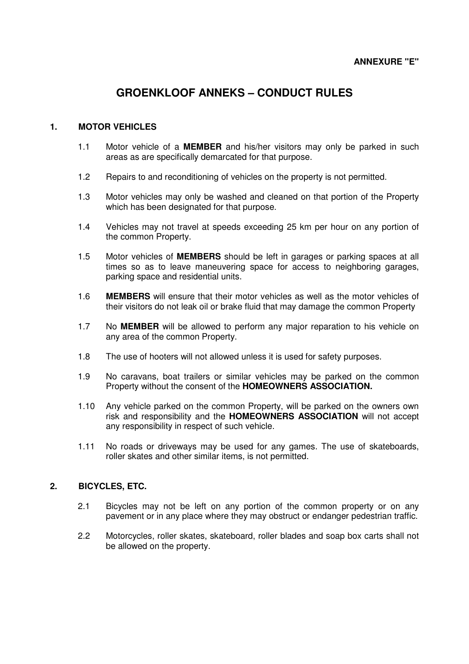# **GROENKLOOF ANNEKS – CONDUCT RULES**

# **1. MOTOR VEHICLES**

- 1.1 Motor vehicle of a **MEMBER** and his/her visitors may only be parked in such areas as are specifically demarcated for that purpose.
- 1.2 Repairs to and reconditioning of vehicles on the property is not permitted.
- 1.3 Motor vehicles may only be washed and cleaned on that portion of the Property which has been designated for that purpose.
- 1.4 Vehicles may not travel at speeds exceeding 25 km per hour on any portion of the common Property.
- 1.5 Motor vehicles of **MEMBERS** should be left in garages or parking spaces at all times so as to leave maneuvering space for access to neighboring garages, parking space and residential units.
- 1.6 **MEMBERS** will ensure that their motor vehicles as well as the motor vehicles of their visitors do not leak oil or brake fluid that may damage the common Property
- 1.7 No **MEMBER** will be allowed to perform any major reparation to his vehicle on any area of the common Property.
- 1.8 The use of hooters will not allowed unless it is used for safety purposes.
- 1.9 No caravans, boat trailers or similar vehicles may be parked on the common Property without the consent of the **HOMEOWNERS ASSOCIATION.**
- 1.10 Any vehicle parked on the common Property, will be parked on the owners own risk and responsibility and the **HOMEOWNERS ASSOCIATION** will not accept any responsibility in respect of such vehicle.
- 1.11 No roads or driveways may be used for any games. The use of skateboards, roller skates and other similar items, is not permitted.

# **2. BICYCLES, ETC.**

- 2.1 Bicycles may not be left on any portion of the common property or on any pavement or in any place where they may obstruct or endanger pedestrian traffic.
- 2.2 Motorcycles, roller skates, skateboard, roller blades and soap box carts shall not be allowed on the property.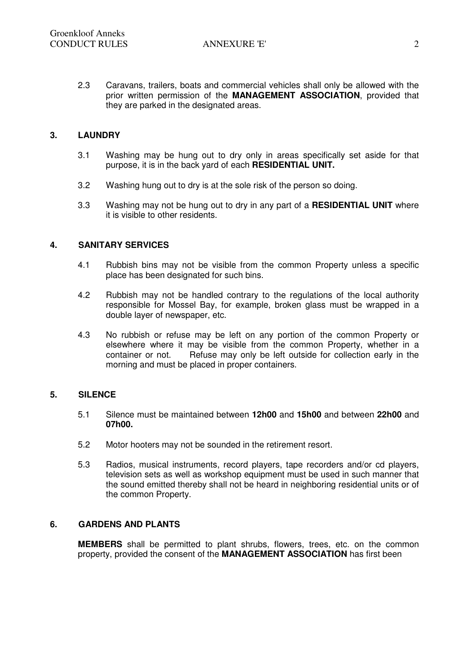2.3 Caravans, trailers, boats and commercial vehicles shall only be allowed with the prior written permission of the **MANAGEMENT ASSOCIATION**, provided that they are parked in the designated areas.

# **3. LAUNDRY**

- 3.1 Washing may be hung out to dry only in areas specifically set aside for that purpose, it is in the back yard of each **RESIDENTIAL UNIT.**
- 3.2 Washing hung out to dry is at the sole risk of the person so doing.
- 3.3 Washing may not be hung out to dry in any part of a **RESIDENTIAL UNIT** where it is visible to other residents.

# **4. SANITARY SERVICES**

- 4.1 Rubbish bins may not be visible from the common Property unless a specific place has been designated for such bins.
- 4.2 Rubbish may not be handled contrary to the regulations of the local authority responsible for Mossel Bay, for example, broken glass must be wrapped in a double layer of newspaper, etc.
- 4.3 No rubbish or refuse may be left on any portion of the common Property or elsewhere where it may be visible from the common Property, whether in a container or not. Refuse may only be left outside for collection early in the morning and must be placed in proper containers.

# **5. SILENCE**

- 5.1 Silence must be maintained between **12h00** and **15h00** and between **22h00** and **07h00.**
- 5.2 Motor hooters may not be sounded in the retirement resort.
- 5.3 Radios, musical instruments, record players, tape recorders and/or cd players, television sets as well as workshop equipment must be used in such manner that the sound emitted thereby shall not be heard in neighboring residential units or of the common Property.

# **6. GARDENS AND PLANTS**

**MEMBERS** shall be permitted to plant shrubs, flowers, trees, etc. on the common property, provided the consent of the **MANAGEMENT ASSOCIATION** has first been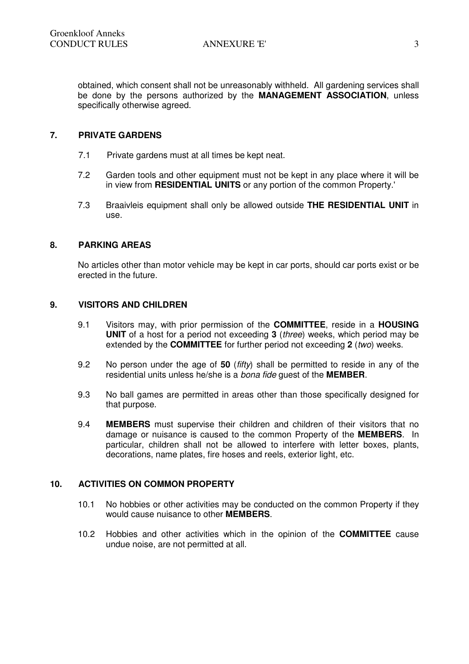obtained, which consent shall not be unreasonably withheld. All gardening services shall be done by the persons authorized by the **MANAGEMENT ASSOCIATION**, unless specifically otherwise agreed.

# **7. PRIVATE GARDENS**

- 7.1 Private gardens must at all times be kept neat.
- 7.2 Garden tools and other equipment must not be kept in any place where it will be in view from **RESIDENTIAL UNITS** or any portion of the common Property.'
- 7.3 Braaivleis equipment shall only be allowed outside **THE RESIDENTIAL UNIT** in use.

# **8. PARKING AREAS**

No articles other than motor vehicle may be kept in car ports, should car ports exist or be erected in the future.

# **9. VISITORS AND CHILDREN**

- 9.1 Visitors may, with prior permission of the **COMMITTEE**, reside in a **HOUSING UNIT** of a host for a period not exceeding **3** (three) weeks, which period may be extended by the **COMMITTEE** for further period not exceeding 2 (two) weeks.
- 9.2 No person under the age of **50** (fifty) shall be permitted to reside in any of the residential units unless he/she is a bona fide guest of the **MEMBER**.
- 9.3 No ball games are permitted in areas other than those specifically designed for that purpose.
- 9.4 **MEMBERS** must supervise their children and children of their visitors that no damage or nuisance is caused to the common Property of the **MEMBERS**. In particular, children shall not be allowed to interfere with letter boxes, plants, decorations, name plates, fire hoses and reels, exterior light, etc.

# **10. ACTIVITIES ON COMMON PROPERTY**

- 10.1 No hobbies or other activities may be conducted on the common Property if they would cause nuisance to other **MEMBERS**.
- 10.2 Hobbies and other activities which in the opinion of the **COMMITTEE** cause undue noise, are not permitted at all.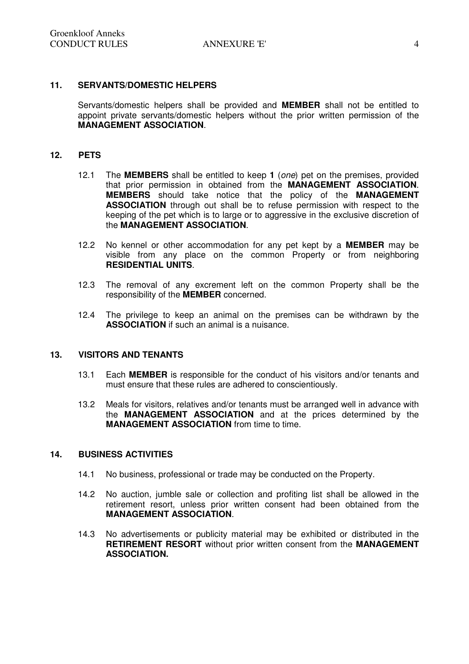### **11. SERVANTS/DOMESTIC HELPERS**

Servants/domestic helpers shall be provided and **MEMBER** shall not be entitled to appoint private servants/domestic helpers without the prior written permission of the **MANAGEMENT ASSOCIATION**.

#### **12. PETS**

- 12.1 The **MEMBERS** shall be entitled to keep **1** (one) pet on the premises, provided that prior permission in obtained from the **MANAGEMENT ASSOCIATION**. **MEMBERS** should take notice that the policy of the **MANAGEMENT ASSOCIATION** through out shall be to refuse permission with respect to the keeping of the pet which is to large or to aggressive in the exclusive discretion of the **MANAGEMENT ASSOCIATION**.
- 12.2 No kennel or other accommodation for any pet kept by a **MEMBER** may be visible from any place on the common Property or from neighboring **RESIDENTIAL UNITS**.
- 12.3 The removal of any excrement left on the common Property shall be the responsibility of the **MEMBER** concerned.
- 12.4 The privilege to keep an animal on the premises can be withdrawn by the **ASSOCIATION** if such an animal is a nuisance.

#### **13. VISITORS AND TENANTS**

- 13.1 Each **MEMBER** is responsible for the conduct of his visitors and/or tenants and must ensure that these rules are adhered to conscientiously.
- 13.2 Meals for visitors, relatives and/or tenants must be arranged well in advance with the **MANAGEMENT ASSOCIATION** and at the prices determined by the **MANAGEMENT ASSOCIATION** from time to time.

#### **14. BUSINESS ACTIVITIES**

- 14.1 No business, professional or trade may be conducted on the Property.
- 14.2 No auction, jumble sale or collection and profiting list shall be allowed in the retirement resort, unless prior written consent had been obtained from the **MANAGEMENT ASSOCIATION**.
- 14.3 No advertisements or publicity material may be exhibited or distributed in the **RETIREMENT RESORT** without prior written consent from the **MANAGEMENT ASSOCIATION.**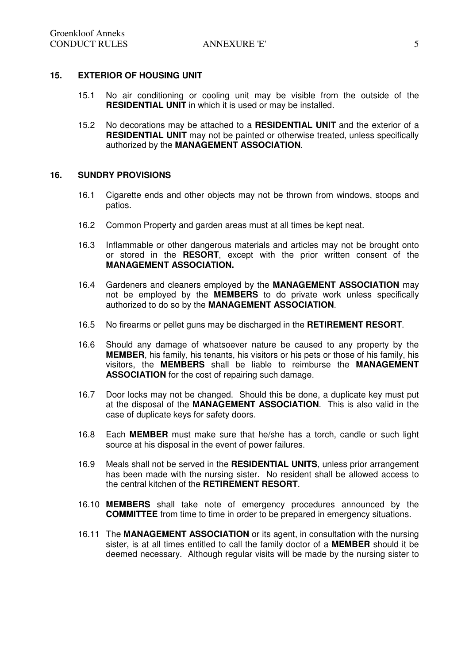# **15. EXTERIOR OF HOUSING UNIT**

- 15.1 No air conditioning or cooling unit may be visible from the outside of the **RESIDENTIAL UNIT** in which it is used or may be installed.
- 15.2 No decorations may be attached to a **RESIDENTIAL UNIT** and the exterior of a **RESIDENTIAL UNIT** may not be painted or otherwise treated, unless specifically authorized by the **MANAGEMENT ASSOCIATION**.

### **16. SUNDRY PROVISIONS**

- 16.1 Cigarette ends and other objects may not be thrown from windows, stoops and patios.
- 16.2 Common Property and garden areas must at all times be kept neat.
- 16.3 Inflammable or other dangerous materials and articles may not be brought onto or stored in the **RESORT**, except with the prior written consent of the **MANAGEMENT ASSOCIATION.**
- 16.4 Gardeners and cleaners employed by the **MANAGEMENT ASSOCIATION** may not be employed by the **MEMBERS** to do private work unless specifically authorized to do so by the **MANAGEMENT ASSOCIATION**.
- 16.5 No firearms or pellet guns may be discharged in the **RETIREMENT RESORT**.
- 16.6 Should any damage of whatsoever nature be caused to any property by the **MEMBER**, his family, his tenants, his visitors or his pets or those of his family, his visitors, the **MEMBERS** shall be liable to reimburse the **MANAGEMENT ASSOCIATION** for the cost of repairing such damage.
- 16.7 Door locks may not be changed. Should this be done, a duplicate key must put at the disposal of the **MANAGEMENT ASSOCIATION**. This is also valid in the case of duplicate keys for safety doors.
- 16.8 Each **MEMBER** must make sure that he/she has a torch, candle or such light source at his disposal in the event of power failures.
- 16.9 Meals shall not be served in the **RESIDENTIAL UNITS**, unless prior arrangement has been made with the nursing sister. No resident shall be allowed access to the central kitchen of the **RETIREMENT RESORT**.
- 16.10 **MEMBERS** shall take note of emergency procedures announced by the **COMMITTEE** from time to time in order to be prepared in emergency situations.
- 16.11 The **MANAGEMENT ASSOCIATION** or its agent, in consultation with the nursing sister, is at all times entitled to call the family doctor of a **MEMBER** should it be deemed necessary. Although regular visits will be made by the nursing sister to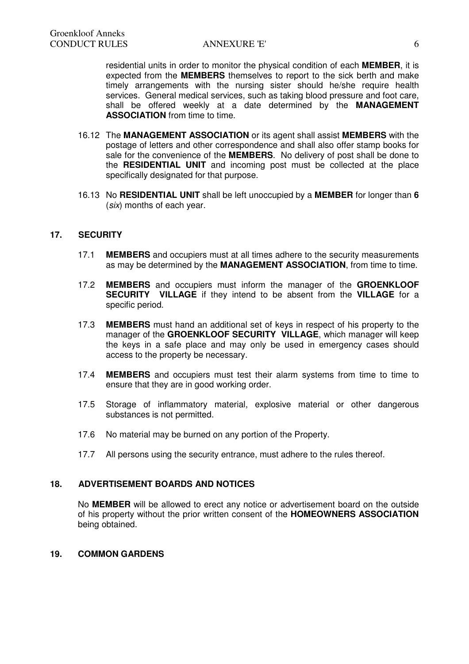residential units in order to monitor the physical condition of each **MEMBER**, it is expected from the **MEMBERS** themselves to report to the sick berth and make timely arrangements with the nursing sister should he/she require health services. General medical services, such as taking blood pressure and foot care, shall be offered weekly at a date determined by the **MANAGEMENT ASSOCIATION** from time to time.

- 16.12 The **MANAGEMENT ASSOCIATION** or its agent shall assist **MEMBERS** with the postage of letters and other correspondence and shall also offer stamp books for sale for the convenience of the **MEMBERS**. No delivery of post shall be done to the **RESIDENTIAL UNIT** and incoming post must be collected at the place specifically designated for that purpose.
- 16.13 No **RESIDENTIAL UNIT** shall be left unoccupied by a **MEMBER** for longer than **6** (six) months of each year.

# **17. SECURITY**

- 17.1 **MEMBERS** and occupiers must at all times adhere to the security measurements as may be determined by the **MANAGEMENT ASSOCIATION**, from time to time.
- 17.2 **MEMBERS** and occupiers must inform the manager of the **GROENKLOOF SECURITY VILLAGE** if they intend to be absent from the **VILLAGE** for a specific period.
- 17.3 **MEMBERS** must hand an additional set of keys in respect of his property to the manager of the **GROENKLOOF SECURITY VILLAGE**, which manager will keep the keys in a safe place and may only be used in emergency cases should access to the property be necessary.
- 17.4 **MEMBERS** and occupiers must test their alarm systems from time to time to ensure that they are in good working order.
- 17.5 Storage of inflammatory material, explosive material or other dangerous substances is not permitted.
- 17.6 No material may be burned on any portion of the Property.
- 17.7 All persons using the security entrance, must adhere to the rules thereof.

# **18. ADVERTISEMENT BOARDS AND NOTICES**

No **MEMBER** will be allowed to erect any notice or advertisement board on the outside of his property without the prior written consent of the **HOMEOWNERS ASSOCIATION** being obtained.

#### **19. COMMON GARDENS**